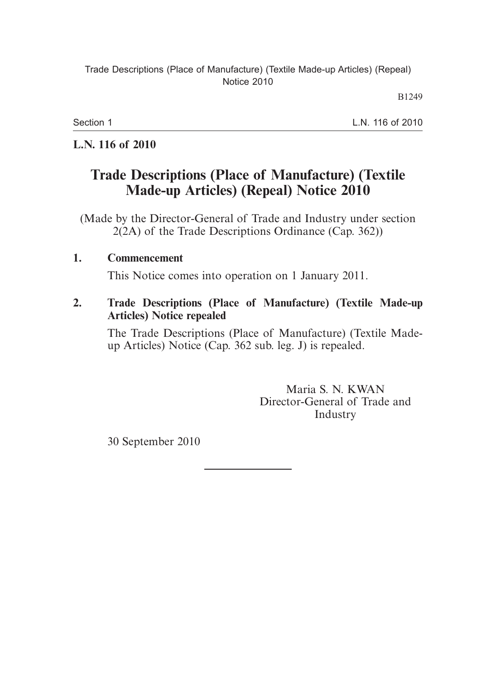#### Trade Descriptions (Place of Manufacture) (Textile Made-up Articles) (Repeal) Notice 2010

B1249

Section 1

L.N. 116 of 2010

### **L.N. 116 of 2010**

# **Trade Descriptions (Place of Manufacture) (Textile Made-up Articles) (Repeal) Notice 2010**

(Made by the Director-General of Trade and Industry under section 2(2A) of the Trade Descriptions Ordinance (Cap. 362))

## **1. Commencement**

This Notice comes into operation on 1 January 2011.

#### **2. Trade Descriptions (Place of Manufacture) (Textile Made-up Articles) Notice repealed**

The Trade Descriptions (Place of Manufacture) (Textile Madeup Articles) Notice (Cap. 362 sub. leg. J) is repealed.

> Maria S. N. KWAN Director-General of Trade and Industry

30 September 2010